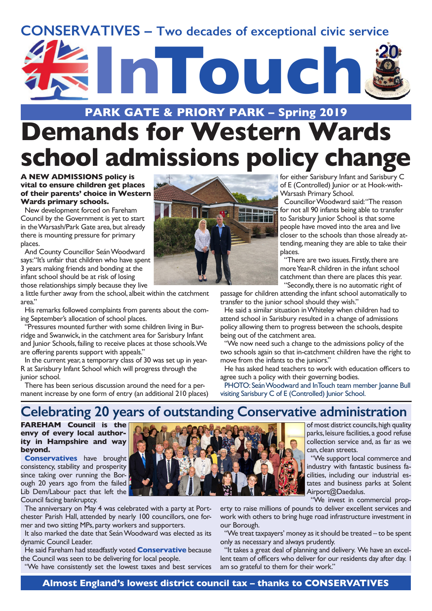## **CONSERVATIVES – Two decades of exceptional civic service**



## **PARK GATE & PRIORY PARK – Spring 2019**

# **Demands for Western Wards school admissions policy change**

### **A NEW ADMISSIONS policy is vital to ensure children get places of their parents' choice in Western Wards primary schools.**

New development forced on Fareham Council by the Government is yet to start in theWarsash/Park Gate area, but already there is mounting pressure for primary places.

And County Councillor Seán Woodward says: "It's unfair that children who have spent 3 years making friends and bonding at the infant school should be at risk of losing those relationships simply because they live

a little further away from the school, albeit within the catchment area."

His remarks followed complaints from parents about the coming September's allocation of school places.

"Pressures mounted further with some children living in Burridge and Swanwick, in the catchment area for Sarisbury Infant and Junior Schools, failing to receive places at those schools. We are offering parents support with appeals."

In the current year, a temporary class of 30 was set up in year-R at Sarisbury Infant School which will progress through the junior school.

There has been serious discussion around the need for a permanent increase by one form of entry (an additional 210 places)



for either Sarisbury Infant and Sarisbury C of E (Controlled) Junior or at Hook-with-Warsash Primary School.

Councillor Woodward said: "The reason for not all 90 infants being able to transfer to Sarisbury Junior School is that some people have moved into the area and live closer to the schools than those already attending, meaning they are able to take their places.

"There are two issues. Firstly, there are more Year-R children in the infant school catchment than there are places this year. "Secondly, there is no automatic right of

passage for children attending the infant school automatically to transfer to the junior school should they wish."

He said a similar situation in Whiteley when children had to attend school in Sarisbury resulted in a change of admissions policy allowing them to progress between the schools, despite being out of the catchment area.

"We now need such a change to the admissions policy of the two schools again so that in-catchment children have the right to move from the infants to the juniors."

He has asked head teachers to work with education officers to agree such a policy with their governing bodies.

PHOTO: Seán Woodward and InTouch team member Joanne Bull visiting Sarisbury C of E (Controlled) Junior School.

## **Celebrating 20 years of outstanding Conservative administration**

**FAREHAM Council is the envy of every local authority in Hampshire and way beyond.**

**Conservatives** have brought consistency, stability and prosperity since taking over running the Borough 20 years ago from the failed Lib Dem/Labour pact that left the Council facing bankruptcy.

The anniversary on May 4 was celebrated with a party at Portchester Parish Hall, attended by nearly 100 councillors, one former and two sitting MPs, party workers and supporters.

It also marked the date that Seán Woodward was elected as its dynamic Council Leader.

He said Fareham had steadfastly voted **Conservative** because the Council was seen to be delivering for local people.

"We have consistently set the lowest taxes and best services



of most district councils, high quality parks, leisure facilities, a good refuse collection service and, as far as we can, clean streets.

"We support local commerce and industry with fantastic business facilities, including our industrial estates and business parks at Solent Airport@Daedalus.

"We invest in commercial prop-

erty to raise millions of pounds to deliver excellent services and work with others to bring huge road infrastructure investment in our Borough.

"We treat taxpayers' money as it should be treated – to be spent only as necessary and always prudently.

"It takes a great deal of planning and delivery. We have an excellent team of officers who deliver for our residents day after day. I am so grateful to them for their work."

**Almost England's lowest district council tax – thanks to CONSERVATIVES**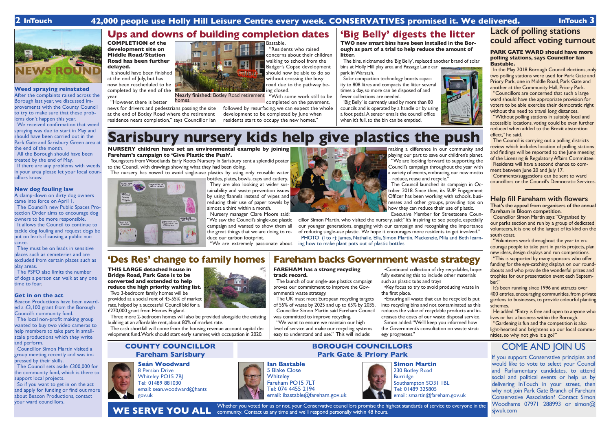**Weed spraying reinstated** After the complaints raised across the Borough last year, we discussed improvements with the County Council to try to make sure that these prob-

lems don't happen this year.

If there are any problems with weeds in your area please let your local coun-

We received confirmation that weed spraying was due to start in May and should have been carried out in the Park Gate and Sarisbury Green area at

the end of the month.

All the Borough should have been

treated by the end of May.

cillors know.

**New dog fouling law**

A clamp-down on dirty dog owners

came into force on April 1.

The Council's new Public Spaces Protection Order aims to encourage dog owners to be more responsible. It allows the Council to continue to tackle dog fouling and request dogs be put on leads if causing a public nui-

sance.

They must be on leads in sensitive places such as cemeteries and are excluded from certain places such as

your ward councillors.<br>
And the service to everyone in the same and the same and the Microsoft Whether you voted for us or not, your Conservative councillors promise the highest standards of service to everyone in the community. Contact us any time and we'll respond personally within 48 hours.

play areas.

The PSPO also limits the number of dogs a person can walk at any one

time to four.

**Get in on the act**

Beacon Productions have been awarded a £3,100 grant from the Borough

Council's community fund.

The local non-profit making group wanted to buy two video cameras to help members to take part in smallscale productions which they write

and perform.

Councillor Simon Martin visited a group meeting recently and was im-

pressed by their skills.

The Council sets aside £300,000 for the community fund, which is there to

support local projects.

So if you want to get in on the act and apply for funding or find out more about Beacon Productions, contact

## **Seán Woodward**

8 Persian Drive Whiteley PO15 7BJ Tel: 01489 881030 email: sean.woodward@hants gov.uk



## **COUNTY COUNCILLOR Fareham Sarisbury**

**BOROUGH COUNCILLORS Park Gate & Priory Park** COME AND JOIN US

If you support Conservative principles and would like to vote to select your Council and Parliamentary candidates, to attend social and political events or help us by delivering InTouch in your street, then why not join Park Gate Branch of Fareham Conservative Association? Contact Simon Woodhams 07971 288993 or simon@ sjwuk.com







Tel: 074 4455 2194

email: ibastable@fareham.gov.uk

**WE SERVE YOU ALL**

## **2 InTouch 42,000 people use Holly Hill Leisure Centre every week. CONSERVATIVES promised it. We delivered. InTouch 3**

**NEWS ROUND**

## **'Des Res' change to family homes**

**BONDING** 

**THIS LARGE detached house in Bridge Road, Park Gate is to be converted and extended to help reduce the high priority waiting list.**

Two 3-bedroom family homes will be provided at a social rent of 45-55% of market rate, helped by a successful Council bid for a £270,000 grant from Homes England.

Three more 2-bedroom homes will also be provided alongside the existing building at an affordable rent, about 80% of market rate.

The cash shortfall will come from the housing revenue account capital development fund. Work should start early summer, with occupation in 2020.



**FAREHAM has a strong recycling** 

**track record.**



making a difference in our community and playing our part to save our children's planet. "We are looking forward to supporting the Council's campaign throughout the year with a variety of events, embracing our new motto – reduce, reuse and recycle.'

## The launch of our single-use plastics campaign proves our commitment to improve the Government's waste strategy.

The UK must meet European recycling targets of 55% of waste by 2025 and up to 65% by 2035. Councillor Simon Martin said Fareham Council was committed to improve recycling.

cillor Simon Martin, who visited the nursery, said: "It's inspiring to see people, especially our younger generations, engaging with our campaign and recognising the importance of reducing single-use plastic. We hope it encourages more residents to get involved." PHOTO (I to r): James, Nathalie, Ella, Simon Martin, Mackenzie, Mila and Beth learn-

"We want to ensure we maintain our high level of service and make our recycling systems easy to understand and use." This will include:

•Continued collection of dry recyclables, hopefully extending this to include other materials such as plastic tubs and trays

•Key focus to try to avoid producing waste in the first place.

In the May 2018 Borough Council elections, only two polling stations were used for Park Gate and Priory Park, one in Middle Road, Park Gate and another at the Community Hall, Priory Park.

•Ensuring all waste that can be recycled is put into recycling bins and not contaminated as this reduces the value of recyclable products and increases the costs of our waste disposal service. Simon added: "We'll keep you informed how the Government's consultation on waste strategy progresses."

**COMPLETION of the development site on Middle Road/Station Road has been further delayed.**

> ment between June 20 and July 17. Comments/suggestions can be sent to ward councillors or the Council's Democratic Services.

It should have been finished at the end of July, but has now been rescheduled to be completed by the end of the year.

"However, there is better

"This is supported by many sponsors who offer funding for the eye-catching displays on our roundabouts and who provide the wonderful prizes and trophies for our presentation event each September."

news for drivers and pedestrians passing the site at the end of Botley Road where the retirement

compliands is

Réduce<br>Rense<br>Recycle

side the



residence nears completion," says Councillor Ian

## Bastable.

It's been running since 1996 and attracts over 400 entries, encouraging communities, from private gardens to businesses, to provide colourful planting schemes.

"Residents who raised concerns about their children walking to school from the Badger's Copse development should now be able to do so without crossing the busy road due to the pathway being closed.

"With some work still to be completed on the pavement,

followed by resurfacing, we can expect the whole development to be completed by June when residents start to occupy the new homes."



## **TWO new smart bins have been installed in the Borough as part of a trial to help reduce the amount of**

**litter.**

The bins, nicknamed the 'Big Belly', replaced another brand of solar bins at Holly Hill play area and Passage Lane car park in Warsash.

Solar compaction technology boosts capacity to 808 litres and compacts the litter several times a day, so more can be disposed of and fewer collections are needed.

'Big Belly' is currently used by more than 80 councils and is operated by a handle or by using a foot pedal. A sensor emails the council office when it's full, so the bin can be emptied.



# **Simon Martin**

230 Botley Road Burridge Southampton SO31 1BL Tel: 01489 325805 email: smartin@fareham.gov.uk

## **Sarisbury nursery kids help give plastics the push**

**NURSERY children have set an environmental example by joining Fareham's campaign to 'Give Plastic the Push'.**

Youngsters from Woodlands Early Roots Nursery in Sarisbury sent a splendid poster to the Council, with drawings showing what they had been doing.

The nursery has vowed to avoid single-use plastics by using only reusable water bottles, plates, bowls, cups and cutlery.

They are also looking at wider sustainability and waste prevention issues by using flannels instead of wipes and reducing their use of paper towels by almost a third within a month.

Nursery manager Clare Moore said: "We saw the Council's single-use plastic campaign and wanted to show them all the great things that we are doing to reduce our carbon footprint.

"We are extremely passionate about



The Council launched its campaign in October 2018. Since then, its SUP Engagement Officer has been working with schools, businesses and other groups, providing tips on how they can reduce their use of plastic. Executive Member for Streetscene Coun-

ing how to make plant pots out of plastic bottles

## **Lack of polling stations could affect voting turnout**

## **PARK GATE WARD should have more polling stations, says Councillor Ian Bastable.**

"Councillors are concerned that such a large ward should have the appropriate provision for voters to be able exercise their democratic right without the need to travel long distances.

"Without polling stations in suitably local and accessible locations, voting could be even further reduced when added to the Brexit abstention effect," he said.

The Council is carrying out a polling districts review which includes location of polling stations and findings will be reported to the June meeting of the Licensing & Regulatory Affairs Committee. Residents will have a second chance to com-

## **Help fill Fareham with flowers That's the appeal from organisers of the annual Fareham in Bloom competition.**

Councillor Simon Martin says: "Organised by our parks section and run by a group of dedicated volunteers, it is one of the largest of its kind on the south coast.

"Volunteers work throughout the year to encourage people to take part in parks projects, plan new ideas, design displays and run competitions.

He added: "Entry is free and open to anyone who lives or has a business within the Borough.

"Gardening is fun and the competition is also light-hearted and brightens up our local communities, so why not give it a go?"

**Nearly finished:** Botley Road retirement homes.